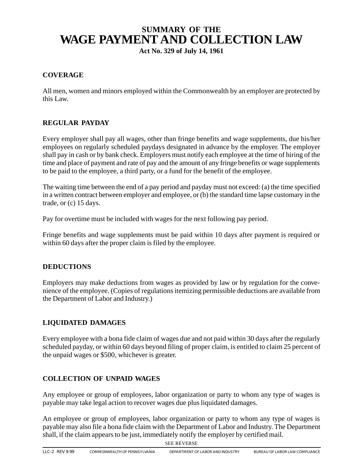# **SUMMARY OF THE WAGE PAYMENT AND COLLECTION LAW**

**Act No. 329 of July 14, 1961**

# **COVERAGE**

All men, women and minors employed within the Commonwealth by an employer are protected by this Law.

# **REGULAR PAYDAY**

Every employer shall pay all wages, other than fringe benefits and wage supplements, due his/her employees on regularly scheduled paydays designated in advance by the employer. The employer shall pay in cash or by bank check. Employers must notify each employee at the time of hiring of the time and place of payment and rate of pay and the amount of any fringe benefits or wage supplements to be paid to the employee, a third party, or a fund for the benefit of the employee.

The waiting time between the end of a pay period and payday must not exceed: (a) the time specified in a written contract between employer and employee, or (b) the standard time lapse customary in the trade, or (c) 15 days.

Pay for overtime must be included with wages for the next following pay period.

Fringe benefits and wage supplements must be paid within 10 days after payment is required or within 60 days after the proper claim is filed by the employee.

## **DEDUCTIONS**

Employers may make deductions from wages as provided by law or by regulation for the convenience of the employee. (Copies of regulations itemizing permissible deductions are available from the Department of Labor and Industry.)

## **LIQUIDATED DAMAGES**

Every employee with a bona fide claim of wages due and not paid within 30 days after the regularly scheduled payday, or within 60 days beyond filing of proper claim, is entitled to claim 25 percent of the unpaid wages or \$500, whichever is greater.

## **COLLECTION OF UNPAID WAGES**

Any employee or group of employees, labor organization or party to whom any type of wages is payable may take legal action to recover wages due plus liquidated damages.

An employee or group of employees, labor organization or party to whom any type of wages is payable may also file a bona fide claim with the Department of Labor and Industry. The Department shall, if the claim appears to be just, immediately notify the employer by certified mail.

SEE REVERSE